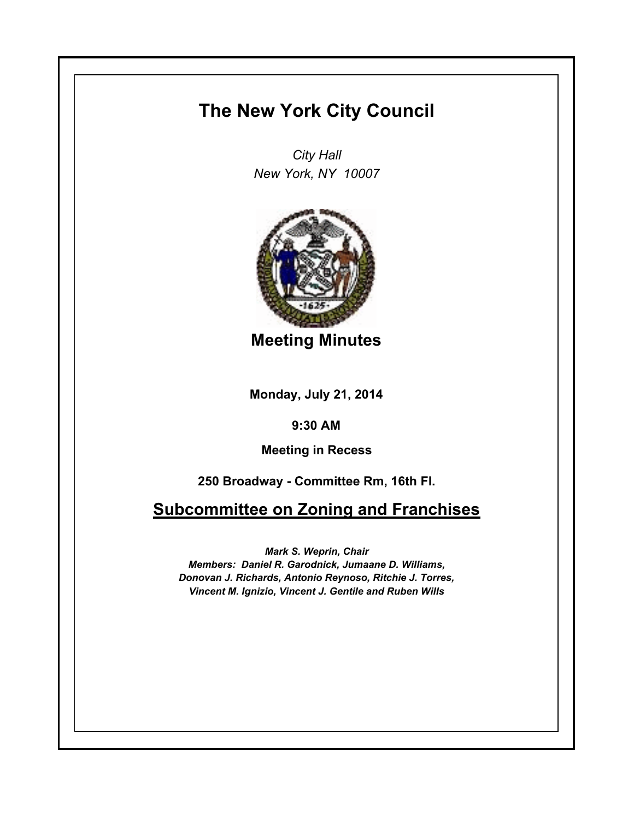## **The New York City Council**

*City Hall New York, NY 10007*



**Meeting Minutes**

**Monday, July 21, 2014**

**9:30 AM**

**Meeting in Recess**

**250 Broadway - Committee Rm, 16th Fl.**

**Subcommittee on Zoning and Franchises**

*Mark S. Weprin, Chair*

*Members: Daniel R. Garodnick, Jumaane D. Williams, Donovan J. Richards, Antonio Reynoso, Ritchie J. Torres, Vincent M. Ignizio, Vincent J. Gentile and Ruben Wills*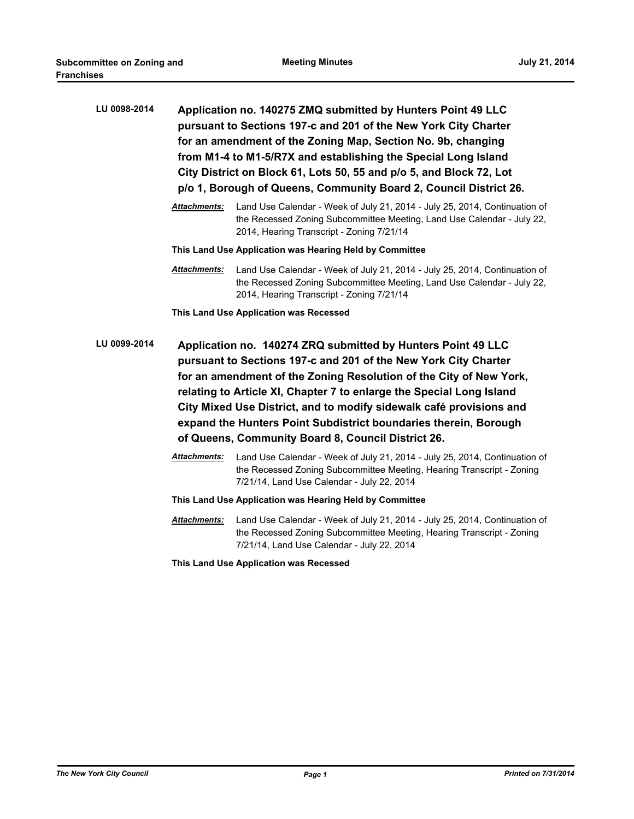| LU 0098-2014 | Application no. 140275 ZMQ submitted by Hunters Point 49 LLC<br>pursuant to Sections 197-c and 201 of the New York City Charter<br>for an amendment of the Zoning Map, Section No. 9b, changing<br>from M1-4 to M1-5/R7X and establishing the Special Long Island<br>City District on Block 61, Lots 50, 55 and p/o 5, and Block 72, Lot<br>p/o 1, Borough of Queens, Community Board 2, Council District 26.                                                                  |                                                                                                                                                                                                   |  |
|--------------|--------------------------------------------------------------------------------------------------------------------------------------------------------------------------------------------------------------------------------------------------------------------------------------------------------------------------------------------------------------------------------------------------------------------------------------------------------------------------------|---------------------------------------------------------------------------------------------------------------------------------------------------------------------------------------------------|--|
|              | <b>Attachments:</b>                                                                                                                                                                                                                                                                                                                                                                                                                                                            | Land Use Calendar - Week of July 21, 2014 - July 25, 2014, Continuation of<br>the Recessed Zoning Subcommittee Meeting, Land Use Calendar - July 22,<br>2014, Hearing Transcript - Zoning 7/21/14 |  |
|              | This Land Use Application was Hearing Held by Committee                                                                                                                                                                                                                                                                                                                                                                                                                        |                                                                                                                                                                                                   |  |
|              | Attachments:                                                                                                                                                                                                                                                                                                                                                                                                                                                                   | Land Use Calendar - Week of July 21, 2014 - July 25, 2014, Continuation of<br>the Recessed Zoning Subcommittee Meeting, Land Use Calendar - July 22,<br>2014, Hearing Transcript - Zoning 7/21/14 |  |
|              |                                                                                                                                                                                                                                                                                                                                                                                                                                                                                | This Land Use Application was Recessed                                                                                                                                                            |  |
| LU 0099-2014 | Application no. 140274 ZRQ submitted by Hunters Point 49 LLC<br>pursuant to Sections 197-c and 201 of the New York City Charter<br>for an amendment of the Zoning Resolution of the City of New York,<br>relating to Article XI, Chapter 7 to enlarge the Special Long Island<br>City Mixed Use District, and to modify sidewalk café provisions and<br>expand the Hunters Point Subdistrict boundaries therein, Borough<br>of Queens, Community Board 8, Council District 26. |                                                                                                                                                                                                   |  |
|              | <b>Attachments:</b>                                                                                                                                                                                                                                                                                                                                                                                                                                                            | Land Use Calendar - Week of July 21, 2014 - July 25, 2014, Continuation of<br>the Recessed Zoning Subcommittee Meeting, Hearing Transcript - Zoning<br>7/21/14, Land Use Calendar - July 22, 2014 |  |
|              | This Land Use Application was Hearing Held by Committee                                                                                                                                                                                                                                                                                                                                                                                                                        |                                                                                                                                                                                                   |  |
|              | Attachments:                                                                                                                                                                                                                                                                                                                                                                                                                                                                   | Land Use Calendar - Week of July 21, 2014 - July 25, 2014, Continuation of<br>the Recessed Zoning Subcommittee Meeting, Hearing Transcript - Zoning<br>7/21/14, Land Use Calendar - July 22, 2014 |  |

**This Land Use Application was Recessed**